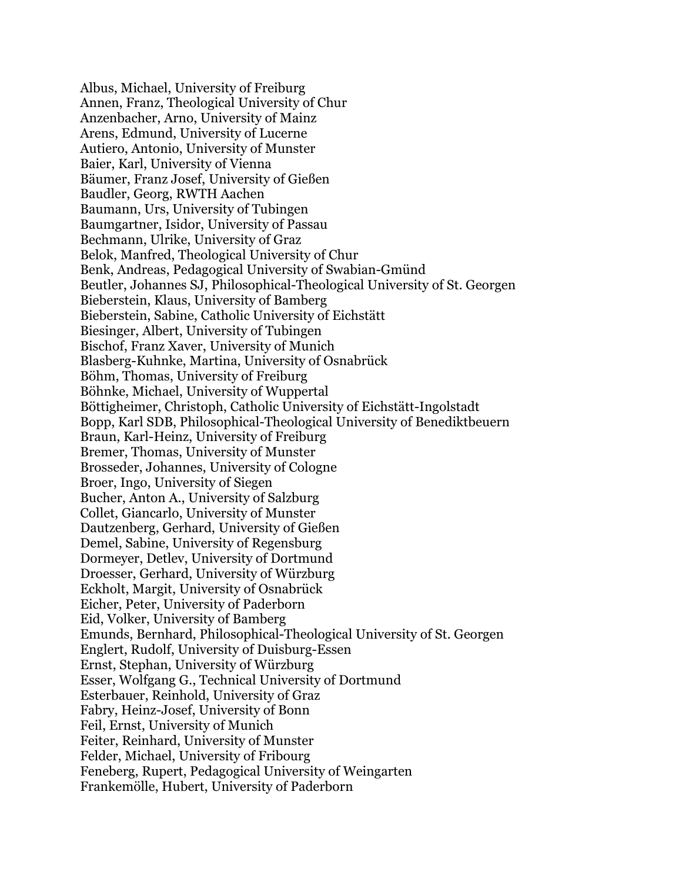Albus, Michael, University of Freiburg Annen, Franz, Theological University of Chur Anzenbacher, Arno, University of Mainz Arens, Edmund, University of Lucerne Autiero, Antonio, University of Munster Baier, Karl, University of Vienna Bäumer, Franz Josef, University of Gießen Baudler, Georg, RWTH Aachen Baumann, Urs, University of Tubingen Baumgartner, Isidor, University of Passau Bechmann, Ulrike, University of Graz Belok, Manfred, Theological University of Chur Benk, Andreas, Pedagogical University of Swabian-Gmünd Beutler, Johannes SJ, Philosophical-Theological University of St. Georgen Bieberstein, Klaus, University of Bamberg Bieberstein, Sabine, Catholic University of Eichstätt Biesinger, Albert, University of Tubingen Bischof, Franz Xaver, University of Munich Blasberg-Kuhnke, Martina, University of Osnabrück Böhm, Thomas, University of Freiburg Böhnke, Michael, University of Wuppertal Böttigheimer, Christoph, Catholic University of Eichstätt-Ingolstadt Bopp, Karl SDB, Philosophical-Theological University of Benediktbeuern Braun, Karl-Heinz, University of Freiburg Bremer, Thomas, University of Munster Brosseder, Johannes, University of Cologne Broer, Ingo, University of Siegen Bucher, Anton A., University of Salzburg Collet, Giancarlo, University of Munster Dautzenberg, Gerhard, University of Gießen Demel, Sabine, University of Regensburg Dormeyer, Detlev, University of Dortmund Droesser, Gerhard, University of Würzburg Eckholt, Margit, University of Osnabrück Eicher, Peter, University of Paderborn Eid, Volker, University of Bamberg Emunds, Bernhard, Philosophical-Theological University of St. Georgen Englert, Rudolf, University of Duisburg-Essen Ernst, Stephan, University of Würzburg Esser, Wolfgang G., Technical University of Dortmund Esterbauer, Reinhold, University of Graz Fabry, Heinz-Josef, University of Bonn Feil, Ernst, University of Munich Feiter, Reinhard, University of Munster Felder, Michael, University of Fribourg Feneberg, Rupert, Pedagogical University of Weingarten Frankemölle, Hubert, University of Paderborn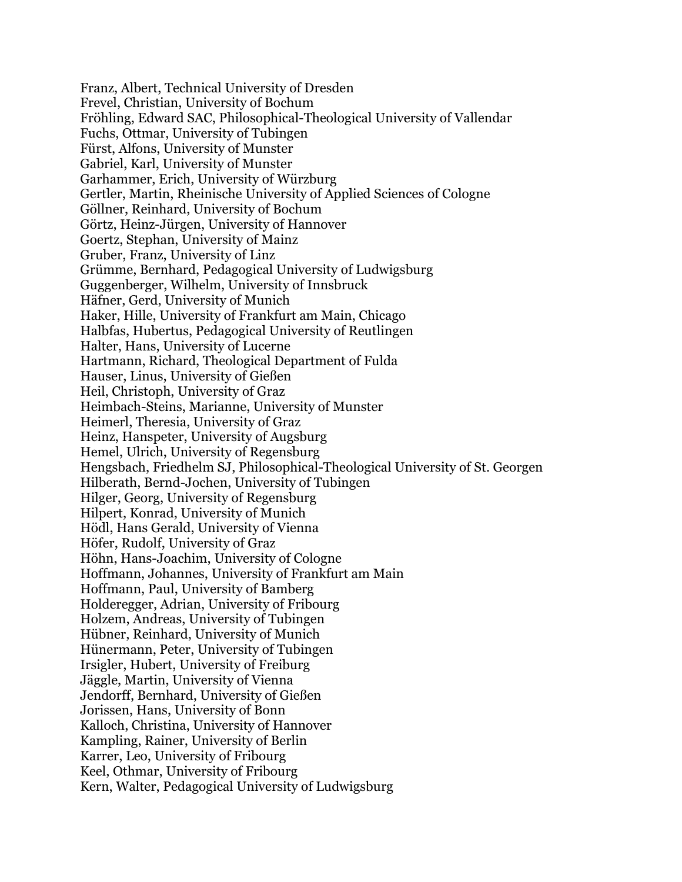Franz, Albert, Technical University of Dresden Frevel, Christian, University of Bochum Fröhling, Edward SAC, Philosophical-Theological University of Vallendar Fuchs, Ottmar, University of Tubingen Fürst, Alfons, University of Munster Gabriel, Karl, University of Munster Garhammer, Erich, University of Würzburg Gertler, Martin, Rheinische University of Applied Sciences of Cologne Göllner, Reinhard, University of Bochum Görtz, Heinz-Jürgen, University of Hannover Goertz, Stephan, University of Mainz Gruber, Franz, University of Linz Grümme, Bernhard, Pedagogical University of Ludwigsburg Guggenberger, Wilhelm, University of Innsbruck Häfner, Gerd, University of Munich Haker, Hille, University of Frankfurt am Main, Chicago Halbfas, Hubertus, Pedagogical University of Reutlingen Halter, Hans, University of Lucerne Hartmann, Richard, Theological Department of Fulda Hauser, Linus, University of Gießen Heil, Christoph, University of Graz Heimbach-Steins, Marianne, University of Munster Heimerl, Theresia, University of Graz Heinz, Hanspeter, University of Augsburg Hemel, Ulrich, University of Regensburg Hengsbach, Friedhelm SJ, Philosophical-Theological University of St. Georgen Hilberath, Bernd-Jochen, University of Tubingen Hilger, Georg, University of Regensburg Hilpert, Konrad, University of Munich Hödl, Hans Gerald, University of Vienna Höfer, Rudolf, University of Graz Höhn, Hans-Joachim, University of Cologne Hoffmann, Johannes, University of Frankfurt am Main Hoffmann, Paul, University of Bamberg Holderegger, Adrian, University of Fribourg Holzem, Andreas, University of Tubingen Hübner, Reinhard, University of Munich Hünermann, Peter, University of Tubingen Irsigler, Hubert, University of Freiburg Jäggle, Martin, University of Vienna Jendorff, Bernhard, University of Gießen Jorissen, Hans, University of Bonn Kalloch, Christina, University of Hannover Kampling, Rainer, University of Berlin Karrer, Leo, University of Fribourg Keel, Othmar, University of Fribourg Kern, Walter, Pedagogical University of Ludwigsburg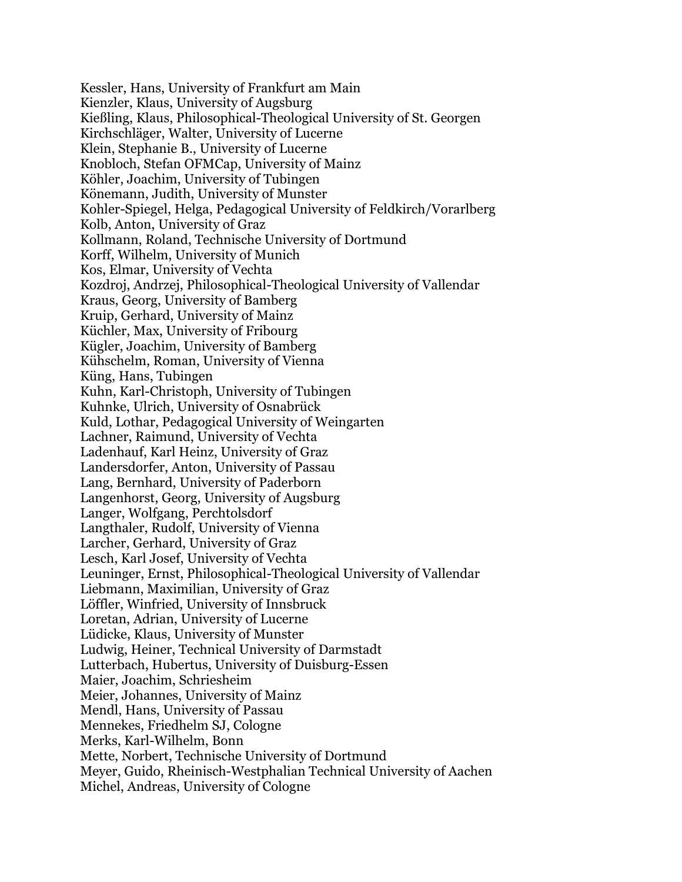Kessler, Hans, University of Frankfurt am Main Kienzler, Klaus, University of Augsburg Kießling, Klaus, Philosophical-Theological University of St. Georgen Kirchschläger, Walter, University of Lucerne Klein, Stephanie B., University of Lucerne Knobloch, Stefan OFMCap, University of Mainz Köhler, Joachim, University of Tubingen Könemann, Judith, University of Munster Kohler-Spiegel, Helga, Pedagogical University of Feldkirch/Vorarlberg Kolb, Anton, University of Graz Kollmann, Roland, Technische University of Dortmund Korff, Wilhelm, University of Munich Kos, Elmar, University of Vechta Kozdroj, Andrzej, Philosophical-Theological University of Vallendar Kraus, Georg, University of Bamberg Kruip, Gerhard, University of Mainz Küchler, Max, University of Fribourg Kügler, Joachim, University of Bamberg Kühschelm, Roman, University of Vienna Küng, Hans, Tubingen Kuhn, Karl-Christoph, University of Tubingen Kuhnke, Ulrich, University of Osnabrück Kuld, Lothar, Pedagogical University of Weingarten Lachner, Raimund, University of Vechta Ladenhauf, Karl Heinz, University of Graz Landersdorfer, Anton, University of Passau Lang, Bernhard, University of Paderborn Langenhorst, Georg, University of Augsburg Langer, Wolfgang, Perchtolsdorf Langthaler, Rudolf, University of Vienna Larcher, Gerhard, University of Graz Lesch, Karl Josef, University of Vechta Leuninger, Ernst, Philosophical-Theological University of Vallendar Liebmann, Maximilian, University of Graz Löffler, Winfried, University of Innsbruck Loretan, Adrian, University of Lucerne Lüdicke, Klaus, University of Munster Ludwig, Heiner, Technical University of Darmstadt Lutterbach, Hubertus, University of Duisburg-Essen Maier, Joachim, Schriesheim Meier, Johannes, University of Mainz Mendl, Hans, University of Passau Mennekes, Friedhelm SJ, Cologne Merks, Karl-Wilhelm, Bonn Mette, Norbert, Technische University of Dortmund Meyer, Guido, Rheinisch-Westphalian Technical University of Aachen Michel, Andreas, University of Cologne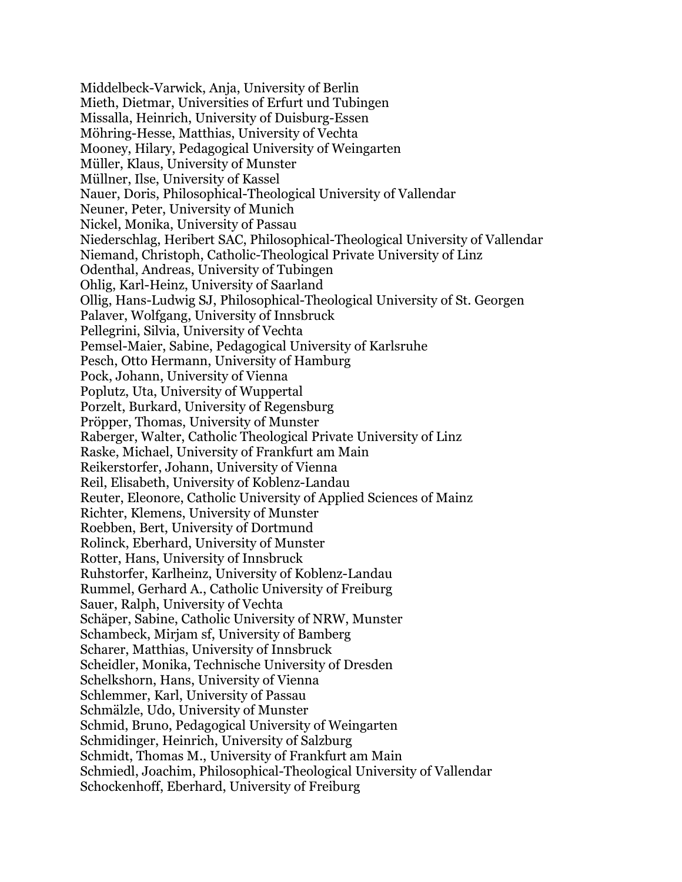Middelbeck-Varwick, Anja, University of Berlin Mieth, Dietmar, Universities of Erfurt und Tubingen Missalla, Heinrich, University of Duisburg-Essen Möhring-Hesse, Matthias, University of Vechta Mooney, Hilary, Pedagogical University of Weingarten Müller, Klaus, University of Munster Müllner, Ilse, University of Kassel Nauer, Doris, Philosophical-Theological University of Vallendar Neuner, Peter, University of Munich Nickel, Monika, University of Passau Niederschlag, Heribert SAC, Philosophical-Theological University of Vallendar Niemand, Christoph, Catholic-Theological Private University of Linz Odenthal, Andreas, University of Tubingen Ohlig, Karl-Heinz, University of Saarland Ollig, Hans-Ludwig SJ, Philosophical-Theological University of St. Georgen Palaver, Wolfgang, University of Innsbruck Pellegrini, Silvia, University of Vechta Pemsel-Maier, Sabine, Pedagogical University of Karlsruhe Pesch, Otto Hermann, University of Hamburg Pock, Johann, University of Vienna Poplutz, Uta, University of Wuppertal Porzelt, Burkard, University of Regensburg Pröpper, Thomas, University of Munster Raberger, Walter, Catholic Theological Private University of Linz Raske, Michael, University of Frankfurt am Main Reikerstorfer, Johann, University of Vienna Reil, Elisabeth, University of Koblenz-Landau Reuter, Eleonore, Catholic University of Applied Sciences of Mainz Richter, Klemens, University of Munster Roebben, Bert, University of Dortmund Rolinck, Eberhard, University of Munster Rotter, Hans, University of Innsbruck Ruhstorfer, Karlheinz, University of Koblenz-Landau Rummel, Gerhard A., Catholic University of Freiburg Sauer, Ralph, University of Vechta Schäper, Sabine, Catholic University of NRW, Munster Schambeck, Mirjam sf, University of Bamberg Scharer, Matthias, University of Innsbruck Scheidler, Monika, Technische University of Dresden Schelkshorn, Hans, University of Vienna Schlemmer, Karl, University of Passau Schmälzle, Udo, University of Munster Schmid, Bruno, Pedagogical University of Weingarten Schmidinger, Heinrich, University of Salzburg Schmidt, Thomas M., University of Frankfurt am Main Schmiedl, Joachim, Philosophical-Theological University of Vallendar Schockenhoff, Eberhard, University of Freiburg